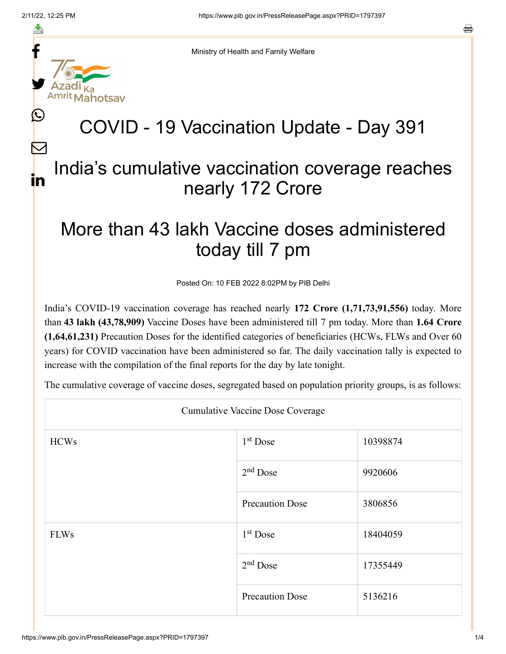f

≛

y.

L

 $\bm{\nabla}$ 

in

Ministry of Health and Family Welfare

## COVID - 19 Vaccination Update - Day 391

## India's cumulative vaccination coverage reaches nearly 172 Crore

## More than 43 lakh Vaccine doses administered today till 7 pm

Posted On: 10 FEB 2022 8:02PM by PIB Delhi

India's COVID-19 vaccination coverage has reached nearly **172 Crore (1,71,73,91,556)** today. More than **43 lakh (43,78,909)** Vaccine Doses have been administered till 7 pm today. More than **1.64 Crore (1,64,61,231)** Precaution Doses for the identified categories of beneficiaries (HCWs, FLWs and Over 60 years) for COVID vaccination have been administered so far. The daily vaccination tally is expected to increase with the compilation of the final reports for the day by late tonight.

The cumulative coverage of vaccine doses, segregated based on population priority groups, is as follows:

| <b>Cumulative Vaccine Dose Coverage</b> |                        |          |  |  |
|-----------------------------------------|------------------------|----------|--|--|
| <b>HCWs</b>                             | $1st$ Dose             | 10398874 |  |  |
|                                         | $2nd$ Dose             | 9920606  |  |  |
|                                         | <b>Precaution Dose</b> | 3806856  |  |  |
| <b>FLWs</b>                             | $1st$ Dose             | 18404059 |  |  |
|                                         | $2nd$ Dose             | 17355449 |  |  |
|                                         | <b>Precaution Dose</b> | 5136216  |  |  |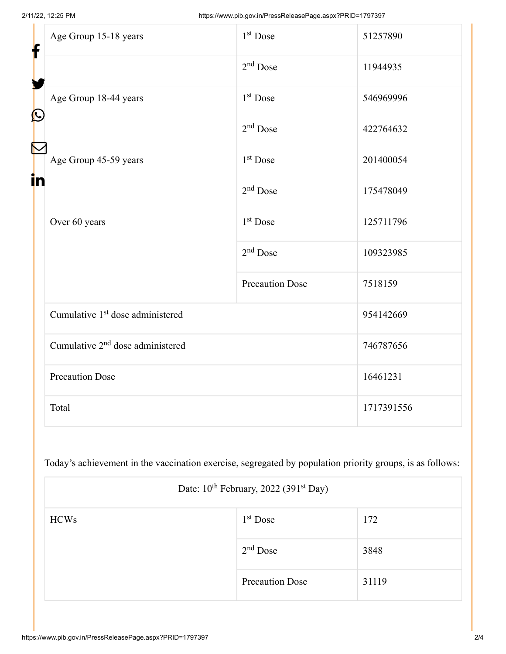| f<br>$\bf \Omega$ | Age Group 15-18 years                        | $1st$ Dose             | 51257890   |
|-------------------|----------------------------------------------|------------------------|------------|
|                   |                                              | $2nd$ Dose             | 11944935   |
|                   | Age Group 18-44 years                        | 1 <sup>st</sup> Dose   | 546969996  |
|                   |                                              | $2nd$ Dose             | 422764632  |
| in                | Age Group 45-59 years                        | 1 <sup>st</sup> Dose   | 201400054  |
|                   |                                              | $2nd$ Dose             | 175478049  |
|                   | Over 60 years                                | 1 <sup>st</sup> Dose   | 125711796  |
|                   |                                              | $2nd$ Dose             | 109323985  |
|                   |                                              | <b>Precaution Dose</b> | 7518159    |
|                   | Cumulative 1 <sup>st</sup> dose administered |                        | 954142669  |
|                   | Cumulative 2 <sup>nd</sup> dose administered |                        | 746787656  |
|                   | <b>Precaution Dose</b>                       |                        | 16461231   |
|                   | Total                                        |                        | 1717391556 |

Today's achievement in the vaccination exercise, segregated by population priority groups, is as follows:

| Date: 10 <sup>th</sup> February, 2022 (391 <sup>st</sup> Day) |                        |       |  |  |
|---------------------------------------------------------------|------------------------|-------|--|--|
| <b>HCWs</b>                                                   | $1st$ Dose             | 172   |  |  |
|                                                               | $2nd$ Dose             | 3848  |  |  |
|                                                               | <b>Precaution Dose</b> | 31119 |  |  |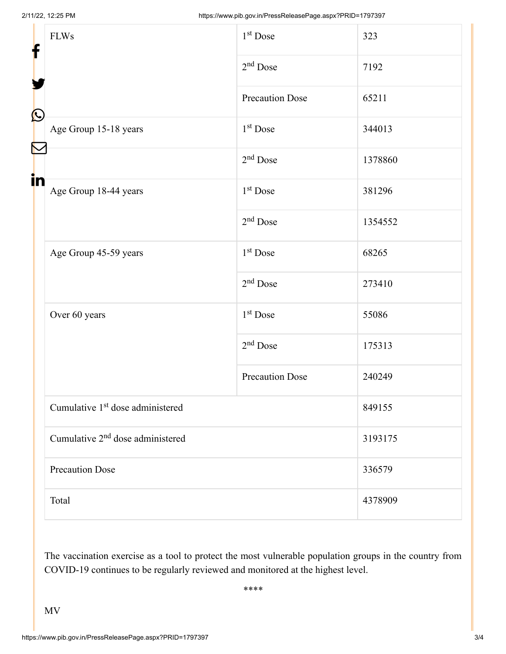| f<br>$\bf \Omega$<br>in | <b>FLWs</b>                                  | 1 <sup>st</sup> Dose   | 323     |  |
|-------------------------|----------------------------------------------|------------------------|---------|--|
|                         |                                              | $2nd$ Dose             | 7192    |  |
|                         |                                              | <b>Precaution Dose</b> | 65211   |  |
|                         | Age Group 15-18 years                        | $1st$ Dose             | 344013  |  |
|                         |                                              | $2nd$ Dose             | 1378860 |  |
|                         | Age Group 18-44 years                        | $1st$ Dose             | 381296  |  |
|                         |                                              | $2nd$ Dose             | 1354552 |  |
|                         | Age Group 45-59 years                        | 1 <sup>st</sup> Dose   | 68265   |  |
|                         |                                              | $2nd$ Dose             | 273410  |  |
|                         | Over 60 years                                | $1st$ Dose             | 55086   |  |
|                         |                                              | $2nd$ Dose             | 175313  |  |
|                         |                                              | <b>Precaution Dose</b> | 240249  |  |
|                         | Cumulative 1 <sup>st</sup> dose administered |                        | 849155  |  |
|                         | Cumulative 2 <sup>nd</sup> dose administered |                        | 3193175 |  |
|                         | <b>Precaution Dose</b>                       |                        | 336579  |  |
|                         | Total                                        |                        | 4378909 |  |

The vaccination exercise as a tool to protect the most vulnerable population groups in the country from COVID-19 continues to be regularly reviewed and monitored at the highest level.

\*\*\*\*

MV